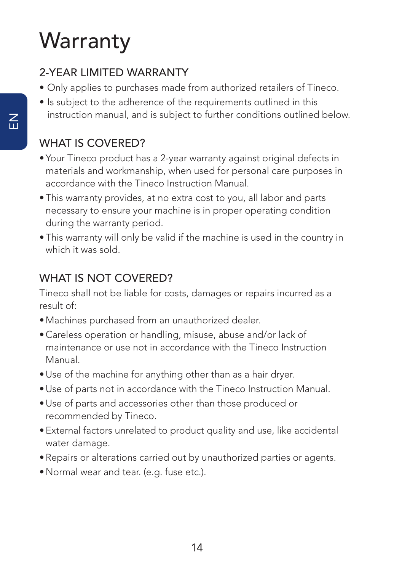# **Warranty**

### 2-YEAR LIMITED WARRANTY

- Only applies to purchases made from authorized retailers of Tineco.
- Is subject to the adherence of the requirements outlined in this instruction manual, and is subject to further conditions outlined below.

## WHAT IS COVERED?

- Your Tineco product has a 2-year warranty against original defects in materials and workmanship, when used for personal care purposes in accordance with the Tineco Instruction Manual.
- This warranty provides, at no extra cost to you, all labor and parts necessary to ensure your machine is in proper operating condition during the warranty period.
- This warranty will only be valid if the machine is used in the country in which it was sold.

## WHAT IS NOT COVERED?

Tineco shall not be liable for costs, damages or repairs incurred as a result of:

- •Machines purchased from an unauthorized dealer.
- Careless operation or handling, misuse, abuse and/or lack of maintenance or use not in accordance with the Tineco Instruction Manual.
- •Use of the machine for anything other than as a hair dryer.
- •Use of parts not in accordance with the Tineco Instruction Manual.
- •Use of parts and accessories other than those produced or recommended by Tineco.
- •External factors unrelated to product quality and use, like accidental water damage.
- •Repairs or alterations carried out by unauthorized parties or agents.
- •Normal wear and tear. (e.g. fuse etc.).